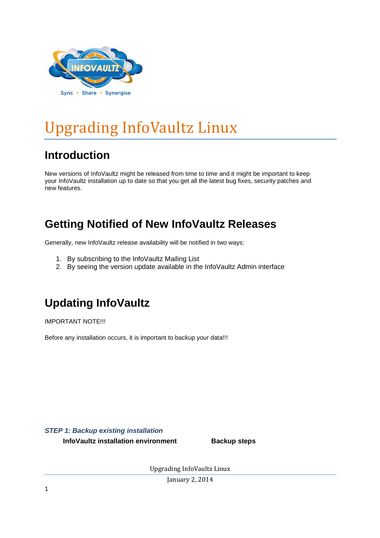

# Upgrading InfoVaultz Linux

### **Introduction**

New versions of InfoVaultz might be released from time to time and it might be important to keep your InfoVaultz installation up to date so that you get all the latest bug fixes, security patches and new features.

### **Getting Notified of New InfoVaultz Releases**

Generally, new InfoVaultz release availability will be notified in two ways:

- 1. By subscribing to the InfoVaultz Mailing List
- 2. By seeing the version update available in the InfoVaultz Admin interface

## **Updating InfoVaultz**

IMPORTANT NOTE!!!

Before any installation occurs, it is important to backup your data!!!

**STEP 1: Backup existing installation**

**InfoVaultz installation environment Backup steps** 

Upgrading InfoVaultz Linux

January 2, 2014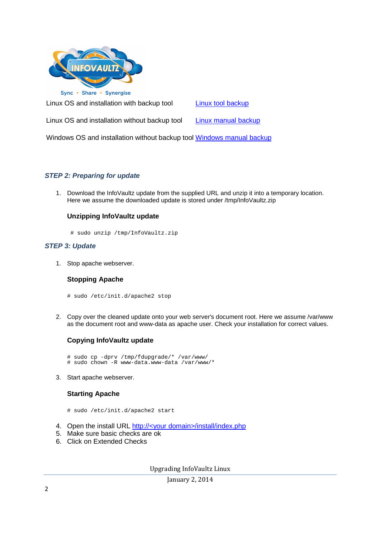

Linux OS and installation with backup tool Linux tool backup

Linux OS and installation without backup tool Linux manual backup

Windows OS and installation without backup tool Windows manual backup

### **STEP 2: Preparing for update**

1. Download the InfoVaultz update from the supplied URL and unzip it into a temporary location. Here we assume the downloaded update is stored under /tmp/InfoVaultz.zip

### **Unzipping InfoVaultz update**

# sudo unzip /tmp/InfoVaultz.zip

#### **STEP 3: Update**

1. Stop apache webserver.

#### **Stopping Apache**

- # sudo /etc/init.d/apache2 stop
- 2. Copy over the cleaned update onto your web server's document root. Here we assume /var/www as the document root and www-data as apache user. Check your installation for correct values.

### **Copying InfoVaultz update**

- # sudo cp -dprv /tmp/fdupgrade/\* /var/www/ # sudo chown -R www-data.www-data /var/www/\*
- 3. Start apache webserver.

### **Starting Apache**

- # sudo /etc/init.d/apache2 start
- 4. Open the install URL http://<your domain>/install/index.php
- 5. Make sure basic checks are ok
- 6. Click on Extended Checks

Upgrading InfoVaultz Linux